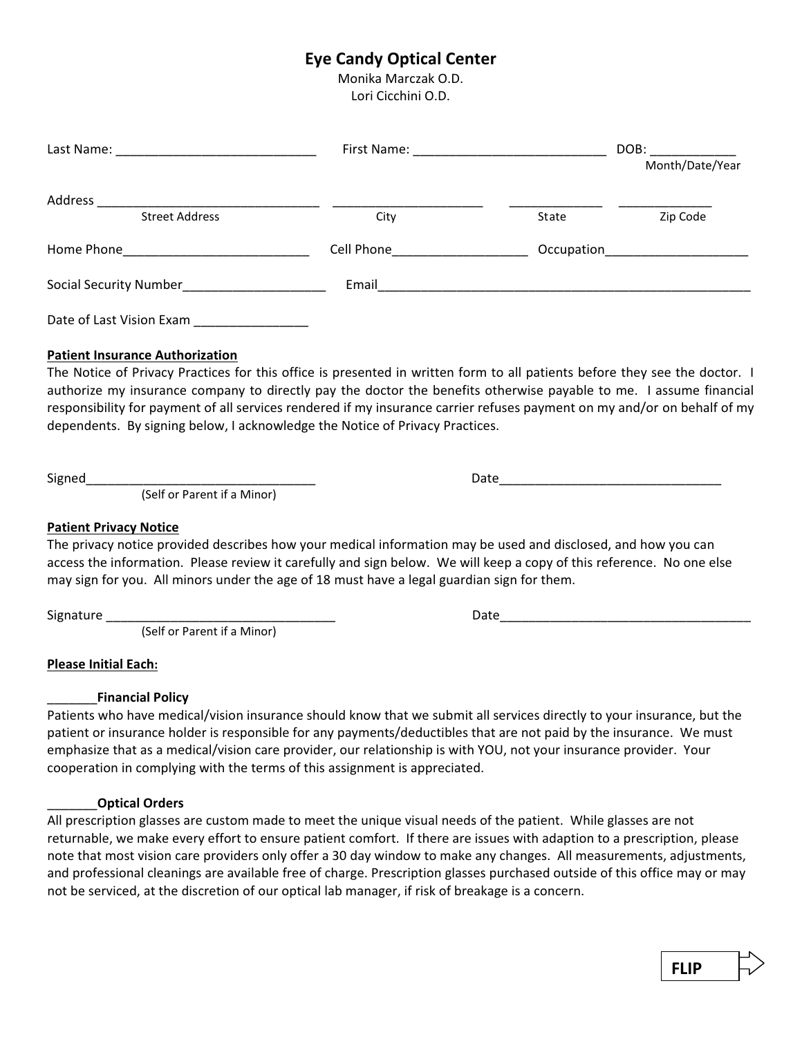# **Eye Candy Optical Center**

Monika Marczak O.D. Lori Cicchini O.D.

|                                             |                                                 | DOB:<br>Month/Date/Year |  |
|---------------------------------------------|-------------------------------------------------|-------------------------|--|
| Address<br><b>Street Address</b>            | City                                            | Zip Code<br>State       |  |
|                                             | Cell Phone <b>Communist Communist Communist</b> | Occupation              |  |
|                                             |                                                 |                         |  |
| Date of Last Vision Exam __________________ |                                                 |                         |  |
| <b>Patient Insurance Authorization</b>      |                                                 |                         |  |

The Notice of Privacy Practices for this office is presented in written form to all patients before they see the doctor. I authorize my insurance company to directly pay the doctor the benefits otherwise payable to me. I assume financial responsibility for payment of all services rendered if my insurance carrier refuses payment on my and/or on behalf of my dependents. By signing below, I acknowledge the Notice of Privacy Practices.

Signed\_\_\_\_\_\_\_\_\_\_\_\_\_\_\_\_\_\_\_\_\_\_\_\_\_\_\_\_\_\_\_\_ Date\_\_\_\_\_\_\_\_\_\_\_\_\_\_\_\_\_\_\_\_\_\_\_\_\_\_\_\_\_\_\_

(Self or Parent if a Minor)

## **Patient Privacy Notice**

The privacy notice provided describes how your medical information may be used and disclosed, and how you can access the information. Please review it carefully and sign below. We will keep a copy of this reference. No one else may sign for you. All minors under the age of 18 must have a legal guardian sign for them.

Signature \_\_\_\_\_\_\_\_\_\_\_\_\_\_\_\_\_\_\_\_\_\_\_\_\_\_\_\_\_\_\_\_ Date\_\_\_\_\_\_\_\_\_\_\_\_\_\_\_\_\_\_\_\_\_\_\_\_\_\_\_\_\_\_\_\_\_\_\_

(Self or Parent if a Minor)

**Please Initial Each:**

# \_\_\_\_\_\_\_**Financial Policy**

Patients who have medical/vision insurance should know that we submit all services directly to your insurance, but the patient or insurance holder is responsible for any payments/deductibles that are not paid by the insurance. We must emphasize that as a medical/vision care provider, our relationship is with YOU, not your insurance provider. Your cooperation in complying with the terms of this assignment is appreciated.

# \_\_\_\_\_\_\_**Optical Orders**

All prescription glasses are custom made to meet the unique visual needs of the patient. While glasses are not returnable, we make every effort to ensure patient comfort. If there are issues with adaption to a prescription, please note that most vision care providers only offer a 30 day window to make any changes. All measurements, adjustments, and professional cleanings are available free of charge. Prescription glasses purchased outside of this office may or may not be serviced, at the discretion of our optical lab manager, if risk of breakage is a concern.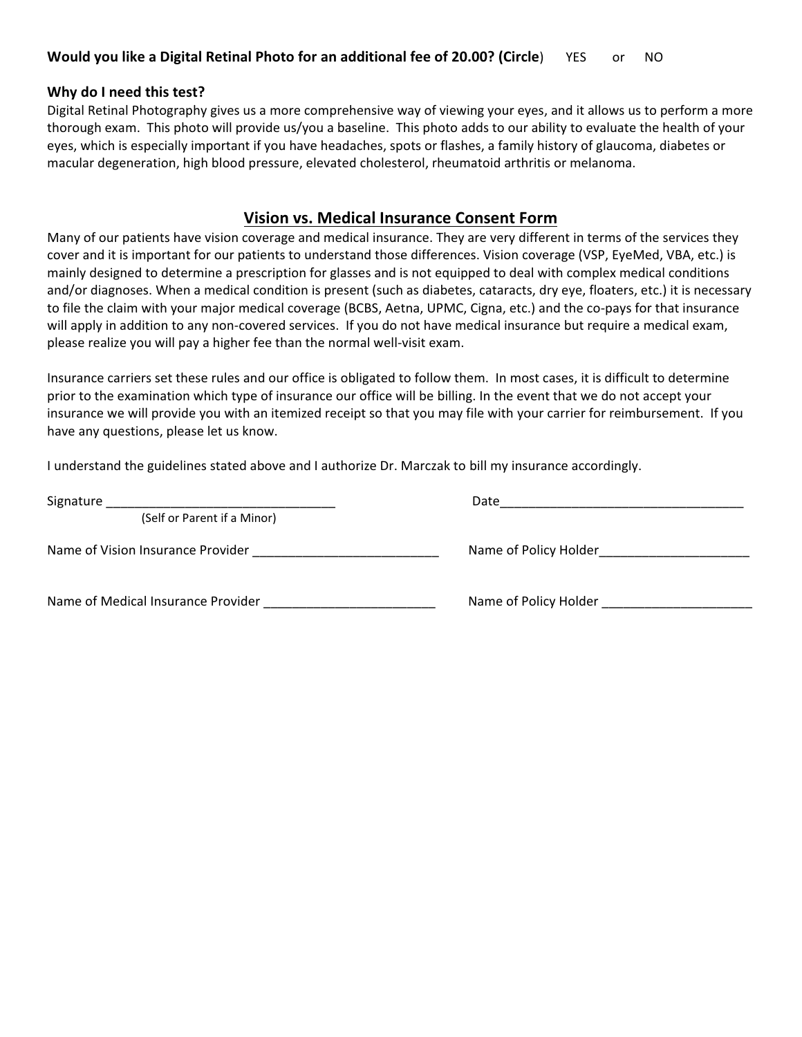# **Why do I need this test?**

Digital Retinal Photography gives us a more comprehensive way of viewing your eyes, and it allows us to perform a more thorough exam. This photo will provide us/you a baseline. This photo adds to our ability to evaluate the health of your eyes, which is especially important if you have headaches, spots or flashes, a family history of glaucoma, diabetes or macular degeneration, high blood pressure, elevated cholesterol, rheumatoid arthritis or melanoma.

# **Vision vs. Medical Insurance Consent Form**

Many of our patients have vision coverage and medical insurance. They are very different in terms of the services they cover and it is important for our patients to understand those differences. Vision coverage (VSP, EyeMed, VBA, etc.) is mainly designed to determine a prescription for glasses and is not equipped to deal with complex medical conditions and/or diagnoses. When a medical condition is present (such as diabetes, cataracts, dry eye, floaters, etc.) it is necessary to file the claim with your major medical coverage (BCBS, Aetna, UPMC, Cigna, etc.) and the co-pays for that insurance will apply in addition to any non-covered services. If you do not have medical insurance but require a medical exam, please realize you will pay a higher fee than the normal well-visit exam.

Insurance carriers set these rules and our office is obligated to follow them. In most cases, it is difficult to determine prior to the examination which type of insurance our office will be billing. In the event that we do not accept your insurance we will provide you with an itemized receipt so that you may file with your carrier for reimbursement. If you have any questions, please let us know.

I understand the guidelines stated above and I authorize Dr. Marczak to bill my insurance accordingly.

| Signature                          | Date                  |
|------------------------------------|-----------------------|
| (Self or Parent if a Minor)        |                       |
| Name of Vision Insurance Provider  | Name of Policy Holder |
| Name of Medical Insurance Provider | Name of Policy Holder |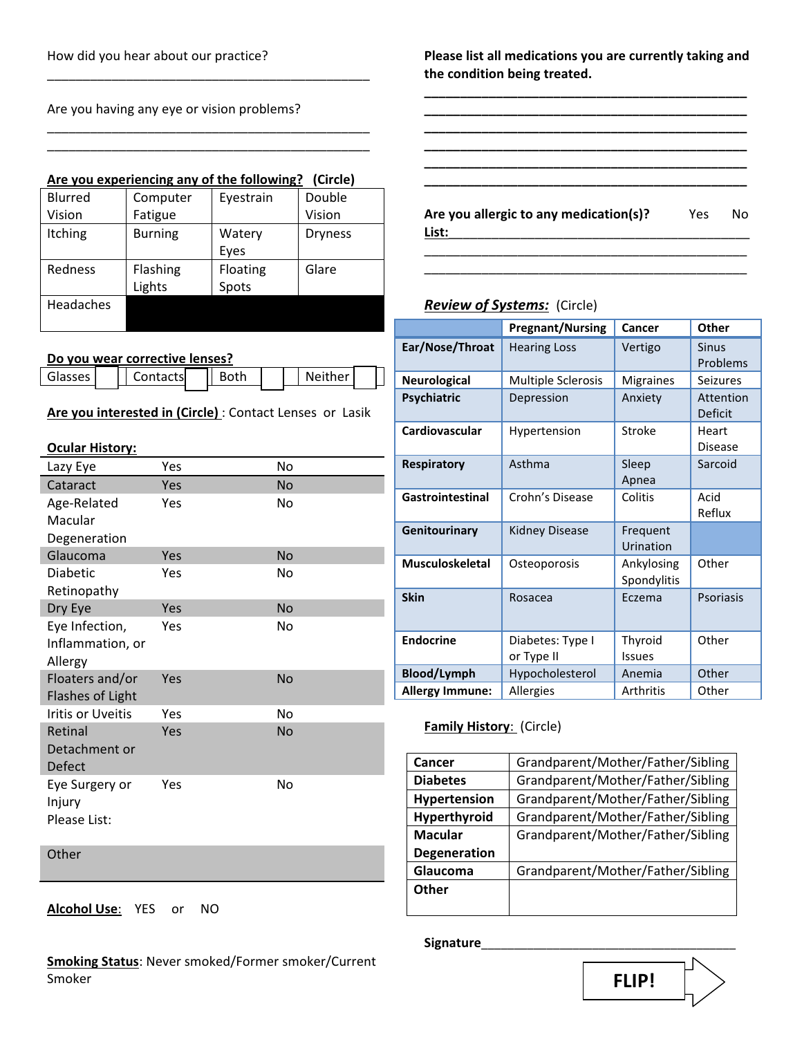Are you having any eye or vision problems?

## **Are you experiencing any of the following? (Circle)**

\_\_\_\_\_\_\_\_\_\_\_\_\_\_\_\_\_\_\_\_\_\_\_\_\_\_\_\_\_\_\_\_\_\_\_\_\_\_\_\_\_\_\_\_\_

\_\_\_\_\_\_\_\_\_\_\_\_\_\_\_\_\_\_\_\_\_\_\_\_\_\_\_\_\_\_\_\_\_\_\_\_\_\_\_\_\_\_\_\_\_ \_\_\_\_\_\_\_\_\_\_\_\_\_\_\_\_\_\_\_\_\_\_\_\_\_\_\_\_\_\_\_\_\_\_\_\_\_\_\_\_\_\_\_\_\_

| <b>Blurred</b> | Computer       | Eyestrain | Double         |
|----------------|----------------|-----------|----------------|
| Vision         | Fatigue        |           | Vision         |
| Itching        | <b>Burning</b> | Watery    | <b>Dryness</b> |
|                |                | Eyes      |                |
| Redness        | Flashing       | Floating  | Glare          |
|                | Lights         | Spots     |                |
| Headaches      |                |           |                |
|                |                |           |                |

## **Do you wear corrective lenses?**

| Glasses I | Contacts | ant∤ |
|-----------|----------|------|
|           |          |      |

**Are you interested in (Circle)** : Contact Lenses or Lasik

Neither

## **Ocular History:**

| Lazy Eye                 | Yes | No        |
|--------------------------|-----|-----------|
| Cataract                 | Yes | <b>No</b> |
| Age-Related              | Yes | No        |
| Macular                  |     |           |
| Degeneration             |     |           |
| Glaucoma                 | Yes | <b>No</b> |
| Diabetic                 | Yes | No        |
| Retinopathy              |     |           |
| Dry Eye                  | Yes | <b>No</b> |
| Eye Infection,           | Yes | No        |
| Inflammation, or         |     |           |
| Allergy                  |     |           |
| Floaters and/or          | Yes | <b>No</b> |
| Flashes of Light         |     |           |
| <b>Iritis or Uveitis</b> | Yes | No        |
| Retinal                  | Yes | <b>No</b> |
| Detachment or            |     |           |
| Defect                   |     |           |
| Eye Surgery or           | Yes | No        |
| Injury                   |     |           |
| Please List:             |     |           |
|                          |     |           |
| Other                    |     |           |

**Alcohol Use**: YES or NO

**Smoking Status**: Never smoked/Former smoker/Current Smoker

**Please list all medications you are currently taking and the condition being treated.**

**\_\_\_\_\_\_\_\_\_\_\_\_\_\_\_\_\_\_\_\_\_\_\_\_\_\_\_\_\_\_\_\_\_\_\_\_\_\_\_\_\_\_\_\_\_ \_\_\_\_\_\_\_\_\_\_\_\_\_\_\_\_\_\_\_\_\_\_\_\_\_\_\_\_\_\_\_\_\_\_\_\_\_\_\_\_\_\_\_\_\_ \_\_\_\_\_\_\_\_\_\_\_\_\_\_\_\_\_\_\_\_\_\_\_\_\_\_\_\_\_\_\_\_\_\_\_\_\_\_\_\_\_\_\_\_\_ \_\_\_\_\_\_\_\_\_\_\_\_\_\_\_\_\_\_\_\_\_\_\_\_\_\_\_\_\_\_\_\_\_\_\_\_\_\_\_\_\_\_\_\_\_ \_\_\_\_\_\_\_\_\_\_\_\_\_\_\_\_\_\_\_\_\_\_\_\_\_\_\_\_\_\_\_\_\_\_\_\_\_\_\_\_\_\_\_\_\_ \_\_\_\_\_\_\_\_\_\_\_\_\_\_\_\_\_\_\_\_\_\_\_\_\_\_\_\_\_\_\_\_\_\_\_\_\_\_\_\_\_\_\_\_\_** 

**Are you allergic to any medication(s)?** Yes No **List:**\_\_\_\_\_\_\_\_\_\_\_\_\_\_\_\_\_\_\_\_\_\_\_\_\_\_\_\_\_\_\_\_\_\_\_\_\_\_\_\_\_\_

\_\_\_\_\_\_\_\_\_\_\_\_\_\_\_\_\_\_\_\_\_\_\_\_\_\_\_\_\_\_\_\_\_\_\_\_\_\_\_\_\_\_\_\_\_ \_\_\_\_\_\_\_\_\_\_\_\_\_\_\_\_\_\_\_\_\_\_\_\_\_\_\_\_\_\_\_\_\_\_\_\_\_\_\_\_\_\_\_\_\_

# *Review of Systems:* (Circle)

|                        | <b>Pregnant/Nursing</b>        | Cancer                    | <b>Other</b>            |
|------------------------|--------------------------------|---------------------------|-------------------------|
| Ear/Nose/Throat        | <b>Hearing Loss</b>            | Vertigo                   | Sinus<br>Problems       |
| <b>Neurological</b>    | <b>Multiple Sclerosis</b>      | <b>Migraines</b>          | <b>Seizures</b>         |
| Psychiatric            | Depression                     | Anxiety                   | Attention<br>Deficit    |
| Cardiovascular         | Hypertension                   | Stroke                    | Heart<br><b>Disease</b> |
| <b>Respiratory</b>     | Asthma                         | Sleep<br>Apnea            | Sarcoid                 |
| Gastrointestinal       | Crohn's Disease                | Colitis                   | Acid<br>Reflux          |
| Genitourinary          | <b>Kidney Disease</b>          | Frequent<br>Urination     |                         |
| <b>Musculoskeletal</b> | Osteoporosis                   | Ankylosing<br>Spondylitis | Other                   |
| <b>Skin</b>            | Rosacea                        | Eczema                    | Psoriasis               |
| <b>Endocrine</b>       | Diabetes: Type I<br>or Type II | Thyroid<br>Issues         | Other                   |
| <b>Blood/Lymph</b>     | Hypocholesterol                | Anemia                    | Other                   |
| <b>Allergy Immune:</b> | Allergies                      | <b>Arthritis</b>          | Other                   |

## **Family History**: (Circle)

| Cancer              | Grandparent/Mother/Father/Sibling |
|---------------------|-----------------------------------|
| <b>Diabetes</b>     | Grandparent/Mother/Father/Sibling |
| Hypertension        | Grandparent/Mother/Father/Sibling |
| Hyperthyroid        | Grandparent/Mother/Father/Sibling |
| <b>Macular</b>      | Grandparent/Mother/Father/Sibling |
| <b>Degeneration</b> |                                   |
| Glaucoma            | Grandparent/Mother/Father/Sibling |
| Other               |                                   |
|                     |                                   |

### **Signature**\_\_\_\_\_\_\_\_\_\_\_\_\_\_\_\_\_\_\_\_\_\_\_\_\_\_\_\_\_\_\_\_\_\_\_\_\_\_\_